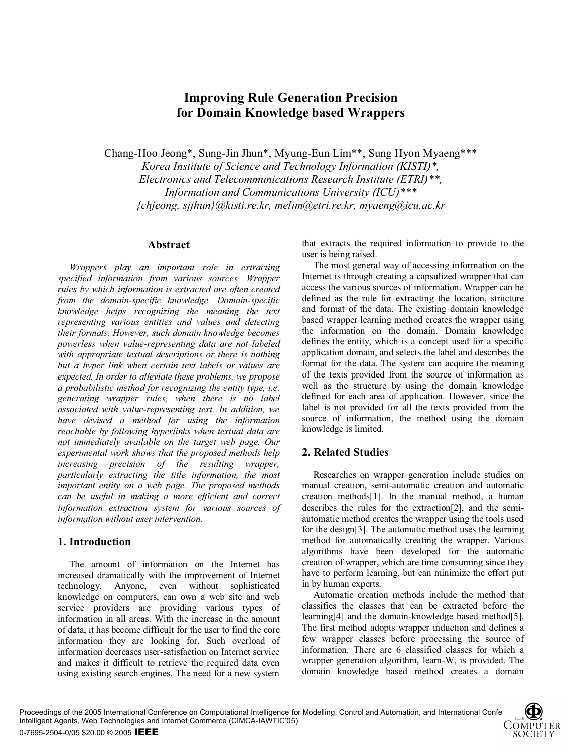# **Improving Rule Generation Precision for Domain Knowledge based Wrappers**

Chang-Hoo Jeong\*, Sung-Jin Jhun\*, Myung-Eun Lim\*\*, Sung Hyon Myaeng\*\*\* *Korea Institute of Science and Technology Information (KISTI)\*, Electronics and Telecommunications Research Institute (ETRI)\*\*, Information and Communications University (ICU)\*\*\* {chjeong, sjjhun}@kisti.re.kr, melim@etri.re.kr, myaeng@icu.ac.kr* 

### **Abstract**

*Wrappers play an important role in extracting specified information from various sources. Wrapper rules by which information is extracted are often created from the domain-specific knowledge. Domain-specific knowledge helps recognizing the meaning the text representing various entities and values and detecting their formats. However, such domain knowledge becomes powerless when value-representing data are not labeled with appropriate textual descriptions or there is nothing but a hyper link when certain text labels or values are expected. In order to alleviate these problems, we propose a probabilistic method for recognizing the entity type, i.e. generating wrapper rules, when there is no label associated with value-representing text. In addition, we have devised a method for using the information reachable by following hyperlinks when textual data are not immediately available on the target web page. Our experimental work shows that the proposed methods help increasing precision of the resulting wrapper, particularly extracting the title information, the most important entity on a web page. The proposed methods can be useful in making a more efficient and correct information extraction system for various sources of information without user intervention.* 

# **1. Introduction**

The amount of information on the Internet has increased dramatically with the improvement of Internet technology. Anyone, even without sophisticated knowledge on computers, can own a web site and web service providers are providing various types of information in all areas. With the increase in the amount of data, it has become difficult for the user to find the core information they are looking for. Such overload of information decreases user-satisfaction on Internet service and makes it difficult to retrieve the required data even using existing search engines. The need for a new system that extracts the required information to provide to the user is being raised.

The most general way of accessing information on the Internet is through creating a capsulized wrapper that can access the various sources of information. Wrapper can be defined as the rule for extracting the location, structure and format of the data. The existing domain knowledge based wrapper learning method creates the wrapper using the information on the domain. Domain knowledge defines the entity, which is a concept used for a specific application domain, and selects the label and describes the format for the data. The system can acquire the meaning of the texts provided from the source of information as well as the structure by using the domain knowledge defined for each area of application. However, since the label is not provided for all the texts provided from the source of information, the method using the domain knowledge is limited.

# **2. Related Studies**

Researches on wrapper generation include studies on manual creation, semi-automatic creation and automatic creation methods[1]. In the manual method, a human describes the rules for the extraction[2], and the semiautomatic method creates the wrapper using the tools used for the design[3]. The automatic method uses the learning method for automatically creating the wrapper. Various algorithms have been developed for the automatic creation of wrapper, which are time consuming since they have to perform learning, but can minimize the effort put in by human experts.

Automatic creation methods include the method that classifies the classes that can be extracted before the learning[4] and the domain-knowledge based method[5]. The first method adopts wrapper induction and defines a few wrapper classes before processing the source of information. There are 6 classified classes for which a wrapper generation algorithm, learn-W, is provided. The domain knowledge based method creates a domain

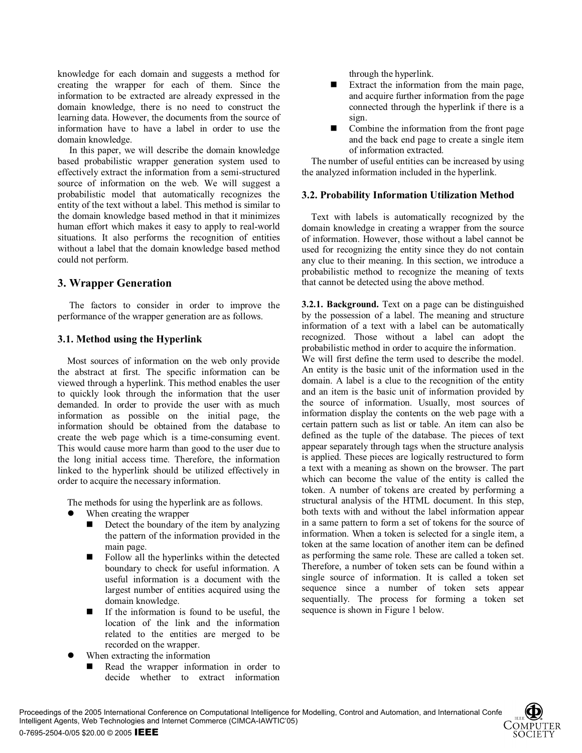knowledge for each domain and suggests a method for creating the wrapper for each of them. Since the information to be extracted are already expressed in the domain knowledge, there is no need to construct the learning data. However, the documents from the source of information have to have a label in order to use the domain knowledge.

In this paper, we will describe the domain knowledge based probabilistic wrapper generation system used to effectively extract the information from a semi-structured source of information on the web. We will suggest a probabilistic model that automatically recognizes the entity of the text without a label. This method is similar to the domain knowledge based method in that it minimizes human effort which makes it easy to apply to real-world situations. It also performs the recognition of entities without a label that the domain knowledge based method could not perform.

# **3. Wrapper Generation**

The factors to consider in order to improve the performance of the wrapper generation are as follows.

### **3.1. Method using the Hyperlink**

Most sources of information on the web only provide the abstract at first. The specific information can be viewed through a hyperlink. This method enables the user to quickly look through the information that the user demanded. In order to provide the user with as much information as possible on the initial page, the information should be obtained from the database to create the web page which is a time-consuming event. This would cause more harm than good to the user due to the long initial access time. Therefore, the information linked to the hyperlink should be utilized effectively in order to acquire the necessary information.

The methods for using the hyperlink are as follows.

- When creating the wrapper
	- Detect the boundary of the item by analyzing the pattern of the information provided in the main page.
	- Follow all the hyperlinks within the detected boundary to check for useful information. A useful information is a document with the largest number of entities acquired using the domain knowledge.
	- If the information is found to be useful, the location of the link and the information related to the entities are merged to be recorded on the wrapper.
- When extracting the information
	- Read the wrapper information in order to decide whether to extract information

through the hyperlink.

- Extract the information from the main page, and acquire further information from the page connected through the hyperlink if there is a sign.
- Combine the information from the front page and the back end page to create a single item of information extracted.

The number of useful entities can be increased by using the analyzed information included in the hyperlink.

### **3.2. Probability Information Utilization Method**

Text with labels is automatically recognized by the domain knowledge in creating a wrapper from the source of information. However, those without a label cannot be used for recognizing the entity since they do not contain any clue to their meaning. In this section, we introduce a probabilistic method to recognize the meaning of texts that cannot be detected using the above method.

**3.2.1. Background.** Text on a page can be distinguished by the possession of a label. The meaning and structure information of a text with a label can be automatically recognized. Those without a label can adopt the probabilistic method in order to acquire the information.

We will first define the term used to describe the model. An entity is the basic unit of the information used in the domain. A label is a clue to the recognition of the entity and an item is the basic unit of information provided by the source of information. Usually, most sources of information display the contents on the web page with a certain pattern such as list or table. An item can also be defined as the tuple of the database. The pieces of text appear separately through tags when the structure analysis is applied. These pieces are logically restructured to form a text with a meaning as shown on the browser. The part which can become the value of the entity is called the token. A number of tokens are created by performing a structural analysis of the HTML document. In this step, both texts with and without the label information appear in a same pattern to form a set of tokens for the source of information. When a token is selected for a single item, a token at the same location of another item can be defined as performing the same role. These are called a token set. Therefore, a number of token sets can be found within a single source of information. It is called a token set sequence since a number of token sets appear sequentially. The process for forming a token set sequence is shown in Figure 1 below.

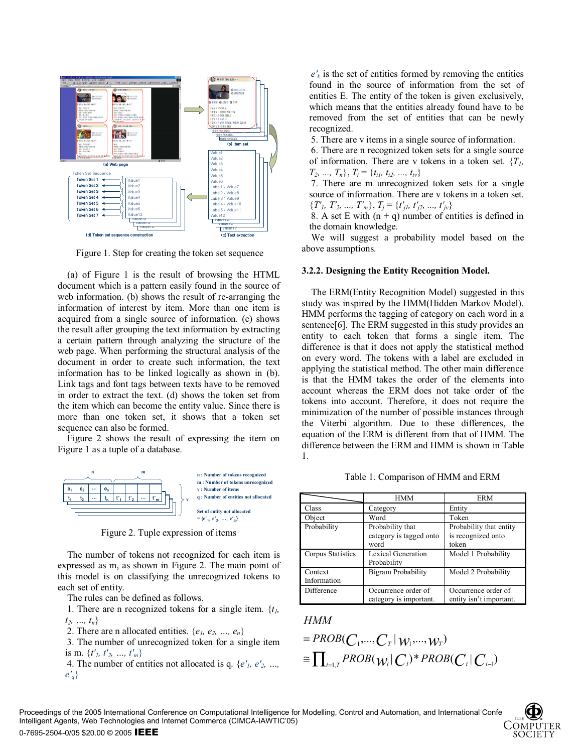

Figure 1. Step for creating the token set sequence

(a) of Figure 1 is the result of browsing the HTML document which is a pattern easily found in the source of web information. (b) shows the result of re-arranging the information of interest by item. More than one item is acquired from a single source of information. (c) shows the result after grouping the text information by extracting a certain pattern through analyzing the structure of the web page. When performing the structural analysis of the document in order to create such information, the text information has to be linked logically as shown in (b). Link tags and font tags between texts have to be removed in order to extract the text. (d) shows the token set from the item which can become the entity value. Since there is more than one token set, it shows that a token set sequence can also be formed.

Figure 2 shows the result of expressing the item on Figure 1 as a tuple of a database.



Figure 2. Tuple expression of items

The number of tokens not recognized for each item is expressed as m, as shown in Figure 2. The main point of this model is on classifying the unrecognized tokens to each set of entity.

The rules can be defined as follows.

1. There are n recognized tokens for a single item. {*t1, t2, …, tn*}

2. There are n allocated entities. {*e1, e2, …, en*}

3. The number of unrecognized token for a single item is m.  $\{t'_1, t'_2, ..., t'_m\}$ 

4. The number of entities not allocated is q.  $\{e^{\prime}_l, e^{\prime}_2, ...,$  $e'_{q}$ }

 $e'_{k}$  is the set of entities formed by removing the entities found in the source of information from the set of entities E. The entity of the token is given exclusively, which means that the entities already found have to be removed from the set of entities that can be newly recognized.

5. There are v items in a single source of information.

6. There are n recognized token sets for a single source of information. There are v tokens in a token set. {*T1,*  $T_2, \ldots, T_n\}, T_i = \{t_{i1}, t_{i2}, \ldots, t_{iv}\}$ 

7. There are m unrecognized token sets for a single source of information. There are v tokens in a token set.  $\{T^{\prime}_1, T^{\prime}_2, ..., T^{\prime}_m\}, T_j = \{t^{\prime}_{j1}, t^{\prime}_{j2}, ..., t^{\prime}_{j\nu}\}\$ 

8. A set E with  $(n + q)$  number of entities is defined in the domain knowledge.

We will suggest a probability model based on the above assumptions.

#### **3.2.2. Designing the Entity Recognition Model.**

The ERM(Entity Recognition Model) suggested in this study was inspired by the HMM(Hidden Markov Model). HMM performs the tagging of category on each word in a sentence<sup>[6]</sup>. The ERM suggested in this study provides an entity to each token that forms a single item. The difference is that it does not apply the statistical method on every word. The tokens with a label are excluded in applying the statistical method. The other main difference is that the HMM takes the order of the elements into account whereas the ERM does not take order of the tokens into account. Therefore, it does not require the minimization of the number of possible instances through the Viterbi algorithm. Due to these differences, the equation of the ERM is different from that of HMM. The difference between the ERM and HMM is shown in Table 1.

Table 1. Comparison of HMM and ERM

|                        | HMM                                                 | ERM                                                    |
|------------------------|-----------------------------------------------------|--------------------------------------------------------|
| Class                  | Category                                            | Entity                                                 |
| Object                 | Word                                                | Token                                                  |
| Probability            | Probability that<br>category is tagged onto<br>word | Probability that entity<br>is recognized onto<br>token |
| Corpus Statistics      | Lexical Generation<br>Probability                   | Model 1 Probability                                    |
| Context<br>Information | Bigram Probability                                  | Model 2 Probability                                    |
| Difference             | Occurrence order of<br>category is important.       | Occurrence order of<br>entity isn't important.         |

### *HMM*

$$
= PROB(C_1, ..., C_r | W_1, ..., W_r)
$$
  
\n
$$
\cong \prod_{i=1,T} PROB(W_i | C_i)^* PROB(C_i | C_{i-1})
$$

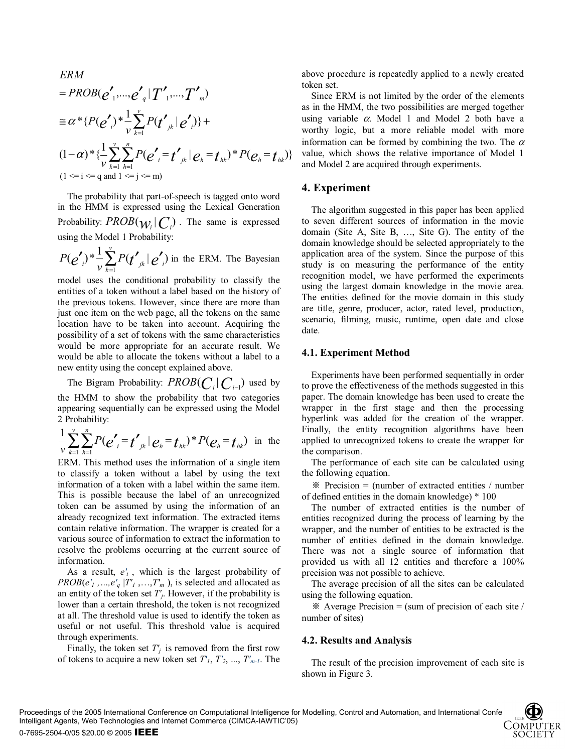$$
ERM
$$
  
=  $PROB(e'_1, ..., e'_q | T'_1, ..., T'_m)$   

$$
\cong \alpha * \{P(e'_i) * \frac{1}{v} \sum_{k=1}^{v} P(t'_{jk} | e'_i) \} +
$$
  

$$
(1-\alpha) * \{\frac{1}{v} \sum_{k=1}^{v} \sum_{h=1}^{n} P(e'_i = t'_{jk} | e_h = t_{hk}) * P(e_h = t_{hk})\}
$$
  

$$
(1 \le i \le q \text{ and } 1 \le j \le m)
$$

The probability that part-of-speech is tagged onto word in the HMM is expressed using the Lexical Generation Probability:  $PROB(w_i | C_i)$ . The same is expressed using the Model 1 Probability:

 $(e')^{*\stackrel{1}{-}}\sum^{\nu}P(t',|e')$  $\mathcal{L}_{p}(\mathbf{y}|\mathbf{x}) = \sum_{k=1}^{v} P(\mathbf{y'}_{jk}|\mathbf{y'})$  $(e')^* \frac{1}{v} \sum_{k=1}^v P(t'')_k \, | \, e'_{ik}$  $P(e')^*$  –  $\sum P(t'_{ik} | e')$  in the ERM. The Bayesian

model uses the conditional probability to classify the entities of a token without a label based on the history of the previous tokens. However, since there are more than just one item on the web page, all the tokens on the same location have to be taken into account. Acquiring the possibility of a set of tokens with the same characteristics would be more appropriate for an accurate result. We would be able to allocate the tokens without a label to a new entity using the concept explained above.

The Bigram Probability:  $PROB(C_i | C_{i-1})$  used by the HMM to show the probability that two categories appearing sequentially can be expressed using the Model 2 Probability:

$$
\frac{1}{\nu}\sum_{k=1}^{\nu}\sum_{h=1}^{n}P(e_{i}'=t_{jk}'|e_{h}=t_{hk})^{*}P(e_{h}=t_{hk})
$$
 in the

ERM. This method uses the information of a single item to classify a token without a label by using the text information of a token with a label within the same item. This is possible because the label of an unrecognized token can be assumed by using the information of an already recognized text information. The extracted items contain relative information. The wrapper is created for a various source of information to extract the information to resolve the problems occurring at the current source of information.

As a result,  $e^{\prime}$ , which is the largest probability of *PROB*( $e'_{1}$ , ..., $e'_{q}$  | $T'_{1}$ , ..., $T'_{m}$ ), is selected and allocated as an entity of the token set  $T'$ <sup>*j*</sup>. However, if the probability is lower than a certain threshold, the token is not recognized at all. The threshold value is used to identify the token as useful or not useful. This threshold value is acquired through experiments.

Finally, the token set  $T'$ <sup>*j*</sup> is removed from the first row of tokens to acquire a new token set  $T<sub>I</sub>$ ,  $T<sub>2</sub>$ , ...,  $T<sub>m-I</sub>$ . The above procedure is repeatedly applied to a newly created token set.

Since ERM is not limited by the order of the elements as in the HMM, the two possibilities are merged together using variable  $\alpha$ . Model 1 and Model 2 both have a worthy logic, but a more reliable model with more information can be formed by combining the two. The  $\alpha$ value, which shows the relative importance of Model 1 and Model 2 are acquired through experiments.

### **4. Experiment**

The algorithm suggested in this paper has been applied to seven different sources of information in the movie domain (Site A, Site B, …, Site G). The entity of the domain knowledge should be selected appropriately to the application area of the system. Since the purpose of this study is on measuring the performance of the entity recognition model, we have performed the experiments using the largest domain knowledge in the movie area. The entities defined for the movie domain in this study are title, genre, producer, actor, rated level, production, scenario, filming, music, runtime, open date and close date.

### **4.1. Experiment Method**

Experiments have been performed sequentially in order to prove the effectiveness of the methods suggested in this paper. The domain knowledge has been used to create the wrapper in the first stage and then the processing hyperlink was added for the creation of the wrapper. Finally, the entity recognition algorithms have been applied to unrecognized tokens to create the wrapper for the comparison.

The performance of each site can be calculated using the following equation.

 $\aleph$  Precision = (number of extracted entities / number of defined entities in the domain knowledge) \* 100

The number of extracted entities is the number of entities recognized during the process of learning by the wrapper, and the number of entities to be extracted is the number of entities defined in the domain knowledge. There was not a single source of information that provided us with all 12 entities and therefore a 100% precision was not possible to achieve.

The average precision of all the sites can be calculated using the following equation.

 $\mathcal K$  Average Precision = (sum of precision of each site / number of sites)

### **4.2. Results and Analysis**

The result of the precision improvement of each site is shown in Figure 3.

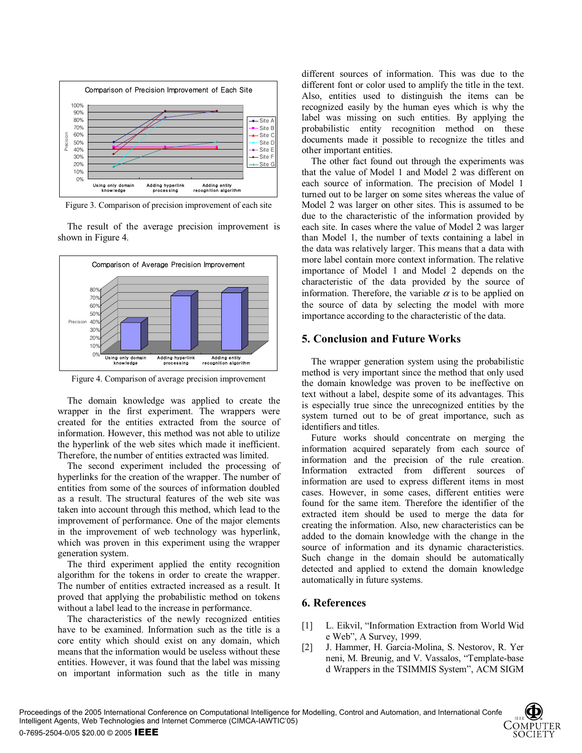

Figure 3. Comparison of precision improvement of each site

The result of the average precision improvement is shown in Figure 4.



Figure 4. Comparison of average precision improvement

The domain knowledge was applied to create the wrapper in the first experiment. The wrappers were created for the entities extracted from the source of information. However, this method was not able to utilize the hyperlink of the web sites which made it inefficient. Therefore, the number of entities extracted was limited.

The second experiment included the processing of hyperlinks for the creation of the wrapper. The number of entities from some of the sources of information doubled as a result. The structural features of the web site was taken into account through this method, which lead to the improvement of performance. One of the major elements in the improvement of web technology was hyperlink, which was proven in this experiment using the wrapper generation system.

The third experiment applied the entity recognition algorithm for the tokens in order to create the wrapper. The number of entities extracted increased as a result. It proved that applying the probabilistic method on tokens without a label lead to the increase in performance.

The characteristics of the newly recognized entities have to be examined. Information such as the title is a core entity which should exist on any domain, which means that the information would be useless without these entities. However, it was found that the label was missing on important information such as the title in many

different sources of information. This was due to the different font or color used to amplify the title in the text. Also, entities used to distinguish the items can be recognized easily by the human eyes which is why the label was missing on such entities. By applying the probabilistic entity recognition method on these documents made it possible to recognize the titles and other important entities.

The other fact found out through the experiments was that the value of Model 1 and Model 2 was different on each source of information. The precision of Model 1 turned out to be larger on some sites whereas the value of Model 2 was larger on other sites. This is assumed to be due to the characteristic of the information provided by each site. In cases where the value of Model 2 was larger than Model 1, the number of texts containing a label in the data was relatively larger. This means that a data with more label contain more context information. The relative importance of Model 1 and Model 2 depends on the characteristic of the data provided by the source of information. Therefore, the variable  $\alpha$  is to be applied on the source of data by selecting the model with more importance according to the characteristic of the data.

### **5. Conclusion and Future Works**

The wrapper generation system using the probabilistic method is very important since the method that only used the domain knowledge was proven to be ineffective on text without a label, despite some of its advantages. This is especially true since the unrecognized entities by the system turned out to be of great importance, such as identifiers and titles.

Future works should concentrate on merging the information acquired separately from each source of information and the precision of the rule creation. Information extracted from different sources of information are used to express different items in most cases. However, in some cases, different entities were found for the same item. Therefore the identifier of the extracted item should be used to merge the data for creating the information. Also, new characteristics can be added to the domain knowledge with the change in the source of information and its dynamic characteristics. Such change in the domain should be automatically detected and applied to extend the domain knowledge automatically in future systems.

# **6. References**

- [1] L. Eikvil, "Information Extraction from World Wid e Web", A Survey, 1999.
- [2] J. Hammer, H. Garcia-Molina, S. Nestorov, R. Yer neni, M. Breunig, and V. Vassalos, "Template-base d Wrappers in the TSIMMIS System", ACM SIGM